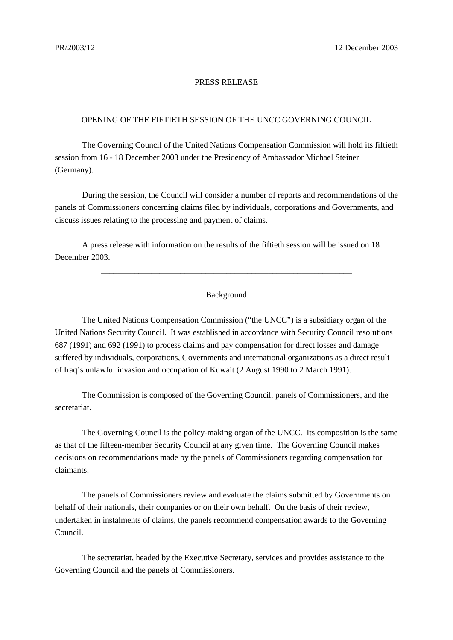## PRESS RELEASE

## OPENING OF THE FIFTIETH SESSION OF THE UNCC GOVERNING COUNCIL

The Governing Council of the United Nations Compensation Commission will hold its fiftieth session from 16 - 18 December 2003 under the Presidency of Ambassador Michael Steiner (Germany).

During the session, the Council will consider a number of reports and recommendations of the panels of Commissioners concerning claims filed by individuals, corporations and Governments, and discuss issues relating to the processing and payment of claims.

A press release with information on the results of the fiftieth session will be issued on 18 December 2003.

## Background

\_\_\_\_\_\_\_\_\_\_\_\_\_\_\_\_\_\_\_\_\_\_\_\_\_\_\_\_\_\_\_\_\_\_\_\_\_\_\_\_\_\_\_\_\_\_\_\_\_\_\_\_\_\_\_\_\_\_\_\_

The United Nations Compensation Commission ("the UNCC") is a subsidiary organ of the United Nations Security Council. It was established in accordance with Security Council resolutions 687 (1991) and 692 (1991) to process claims and pay compensation for direct losses and damage suffered by individuals, corporations, Governments and international organizations as a direct result of Iraq's unlawful invasion and occupation of Kuwait (2 August 1990 to 2 March 1991).

The Commission is composed of the Governing Council, panels of Commissioners, and the secretariat.

The Governing Council is the policy-making organ of the UNCC. Its composition is the same as that of the fifteen-member Security Council at any given time. The Governing Council makes decisions on recommendations made by the panels of Commissioners regarding compensation for claimants.

The panels of Commissioners review and evaluate the claims submitted by Governments on behalf of their nationals, their companies or on their own behalf. On the basis of their review, undertaken in instalments of claims, the panels recommend compensation awards to the Governing Council.

The secretariat, headed by the Executive Secretary, services and provides assistance to the Governing Council and the panels of Commissioners.